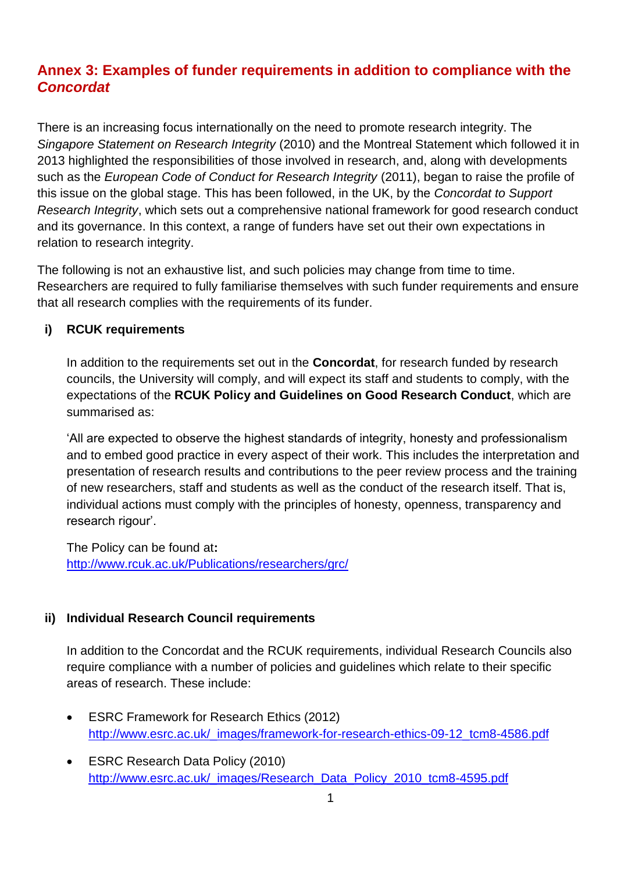# **Annex 3: Examples of funder requirements in addition to compliance with the**  *Concordat*

There is an increasing focus internationally on the need to promote research integrity. The *Singapore Statement on Research Integrity* (2010) and the Montreal Statement which followed it in 2013 highlighted the responsibilities of those involved in research, and, along with developments such as the *European Code of Conduct for Research Integrity* (2011), began to raise the profile of this issue on the global stage. This has been followed, in the UK, by the *Concordat to Support Research Integrity*, which sets out a comprehensive national framework for good research conduct and its governance. In this context, a range of funders have set out their own expectations in relation to research integrity.

The following is not an exhaustive list, and such policies may change from time to time. Researchers are required to fully familiarise themselves with such funder requirements and ensure that all research complies with the requirements of its funder.

### **i) RCUK requirements**

In addition to the requirements set out in the **Concordat**, for research funded by research councils, the University will comply, and will expect its staff and students to comply, with the expectations of the **RCUK Policy and Guidelines on Good Research Conduct**, which are summarised as:

'All are expected to observe the highest standards of integrity, honesty and professionalism and to embed good practice in every aspect of their work. This includes the interpretation and presentation of research results and contributions to the peer review process and the training of new researchers, staff and students as well as the conduct of the research itself. That is, individual actions must comply with the principles of honesty, openness, transparency and research rigour'.

The Policy can be found at**:** <http://www.rcuk.ac.uk/Publications/researchers/grc/>

## **ii) Individual Research Council requirements**

In addition to the Concordat and the RCUK requirements, individual Research Councils also require compliance with a number of policies and guidelines which relate to their specific areas of research. These include:

- **ESRC Framework for Research Ethics (2012)** [http://www.esrc.ac.uk/\\_images/framework-for-research-ethics-09-12\\_tcm8-4586.pdf](http://www.esrc.ac.uk/_images/framework-for-research-ethics-09-12_tcm8-4586.pdf)
- ESRC Research Data Policy (2010) http://www.esrc.ac.uk/ images/Research\_Data\_Policy\_2010\_tcm8-4595.pdf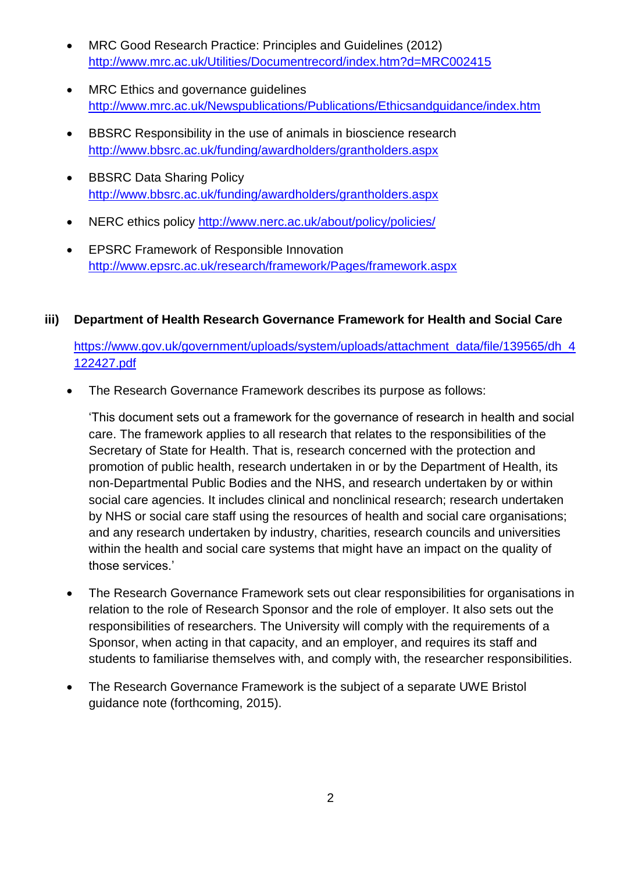- MRC Good Research Practice: Principles and Guidelines (2012) <http://www.mrc.ac.uk/Utilities/Documentrecord/index.htm?d=MRC002415>
- MRC Ethics and governance guidelines <http://www.mrc.ac.uk/Newspublications/Publications/Ethicsandguidance/index.htm>
- BBSRC Responsibility in the use of animals in bioscience research <http://www.bbsrc.ac.uk/funding/awardholders/grantholders.aspx>
- BBSRC Data Sharing Policy <http://www.bbsrc.ac.uk/funding/awardholders/grantholders.aspx>
- NERC ethics policy http://www.nerc.ac.uk/about/policy/policies/
- EPSRC Framework of Responsible Innovation <http://www.epsrc.ac.uk/research/framework/Pages/framework.aspx>

# **iii) Department of Health Research Governance Framework for Health and Social Care**

[https://www.gov.uk/government/uploads/system/uploads/attachment\\_data/file/139565/dh\\_4](https://www.gov.uk/government/uploads/system/uploads/attachment_data/file/139565/dh_4122427.pdf) [122427.pdf](https://www.gov.uk/government/uploads/system/uploads/attachment_data/file/139565/dh_4122427.pdf)

The Research Governance Framework describes its purpose as follows:

'This document sets out a framework for the governance of research in health and social care. The framework applies to all research that relates to the responsibilities of the Secretary of State for Health. That is, research concerned with the protection and promotion of public health, research undertaken in or by the Department of Health, its non-Departmental Public Bodies and the NHS, and research undertaken by or within social care agencies. It includes clinical and nonclinical research; research undertaken by NHS or social care staff using the resources of health and social care organisations; and any research undertaken by industry, charities, research councils and universities within the health and social care systems that might have an impact on the quality of those services.'

- The Research Governance Framework sets out clear responsibilities for organisations in relation to the role of Research Sponsor and the role of employer. It also sets out the responsibilities of researchers. The University will comply with the requirements of a Sponsor, when acting in that capacity, and an employer, and requires its staff and students to familiarise themselves with, and comply with, the researcher responsibilities.
- The Research Governance Framework is the subject of a separate UWE Bristol guidance note (forthcoming, 2015).